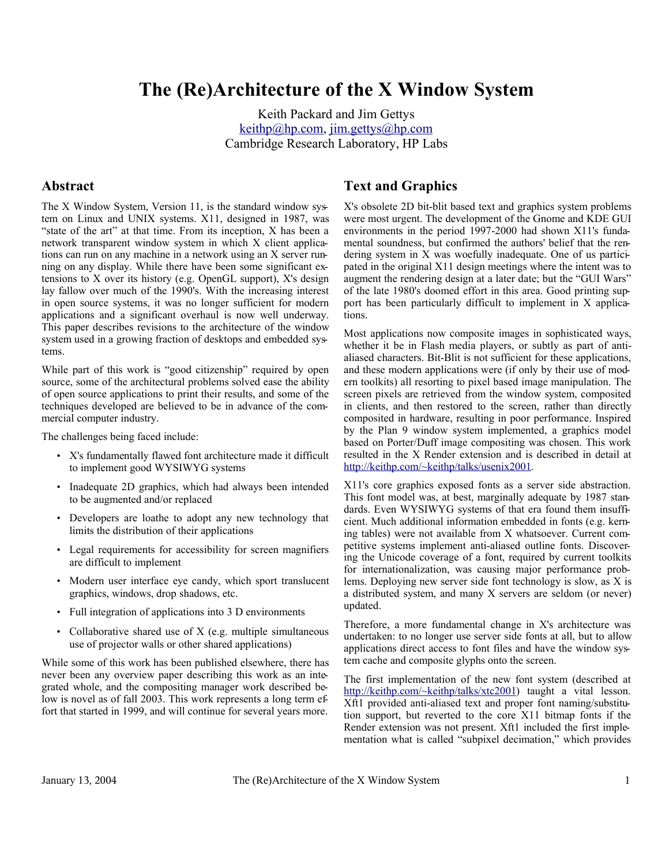# **The (Re)Architecture of the X Window System**

Keith Packard and Jim Gettys <u>keithp@hp.com, jim.gettys@hp.com</u> Cambridge Research Laboratory, HP Labs

### **Abstract**

The X Window System, Version 11, is the standard window system on Linux and UNIX systems. X11, designed in 1987, was "state of the art" at that time. From its inception, X has been a network transparent window system in which X client applications can run on any machine in a network using an X server running on any display. While there have been some significant extensions to X over its history (e.g. OpenGL support), X's design lay fallow over much of the 1990's. With the increasing interest in open source systems, it was no longer sufficient for modern applications and a significant overhaul is now well underway. This paper describes revisions to the architecture of the window system used in a growing fraction of desktops and embedded systems.

While part of this work is "good citizenship" required by open source, some of the architectural problems solved ease the ability of open source applications to print their results, and some of the techniques developed are believed to be in advance of the commercial computer industry.

The challenges being faced include:

- X's fundamentally flawed font architecture made it difficult to implement good WYSIWYG systems
- Inadequate 2D graphics, which had always been intended to be augmented and/or replaced
- Developers are loathe to adopt any new technology that limits the distribution of their applications
- Legal requirements for accessibility for screen magnifiers are difficult to implement
- Modern user interface eye candy, which sport translucent graphics, windows, drop shadows, etc.
- Full integration of applications into 3 D environments
- Collaborative shared use of  $X$  (e.g. multiple simultaneous use of projector walls or other shared applications)

While some of this work has been published elsewhere, there has never been any overview paper describing this work as an integrated whole, and the compositing manager work described below is novel as of fall 2003. This work represents a long term effort that started in 1999, and will continue for several years more.

# **Text and Graphics**

X's obsolete 2D bit-blit based text and graphics system problems were most urgent. The development of the Gnome and KDE GUI environments in the period 1997-2000 had shown X11's fundamental soundness, but confirmed the authors' belief that the rendering system in X was woefully inadequate. One of us participated in the original X11 design meetings where the intent was to augment the rendering design at a later date; but the "GUI Wars" of the late 1980's doomed effort in this area. Good printing support has been particularly difficult to implement in X applications.

Most applications now composite images in sophisticated ways, whether it be in Flash media players, or subtly as part of antialiased characters. Bit-Blit is not sufficient for these applications, and these modern applications were (if only by their use of modern toolkits) all resorting to pixel based image manipulation. The screen pixels are retrieved from the window system, composited in clients, and then restored to the screen, rather than directly composited in hardware, resulting in poor performance. Inspired by the Plan 9 window system implemented, a graphics model based on Porter/Duff image compositing was chosen. This work resulted in the X Render extension and is described in detail at http://keithp.com/~keithp/talks/usenix2001.

X11's core graphics exposed fonts as a server side abstraction. This font model was, at best, marginally adequate by 1987 standards. Even WYSIWYG systems of that era found them insufficient. Much additional information embedded in fonts (e.g. kerning tables) were not available from X whatsoever. Current competitive systems implement anti-aliased outline fonts. Discovering the Unicode coverage of a font, required by current toolkits for internationalization, was causing major performance problems. Deploying new server side font technology is slow, as X is a distributed system, and many X servers are seldom (or never) updated.

Therefore, a more fundamental change in X's architecture was undertaken: to no longer use server side fonts at all, but to allow applications direct access to font files and have the window system cache and composite glyphs onto the screen.

The first implementation of the new font system (described at http://keithp.com/~keithp/talks/xtc2001) taught a vital lesson. Xft1 provided anti-aliased text and proper font naming/substitution support, but reverted to the core X11 bitmap fonts if the Render extension was not present. Xft1 included the first implementation what is called "subpixel decimation," which provides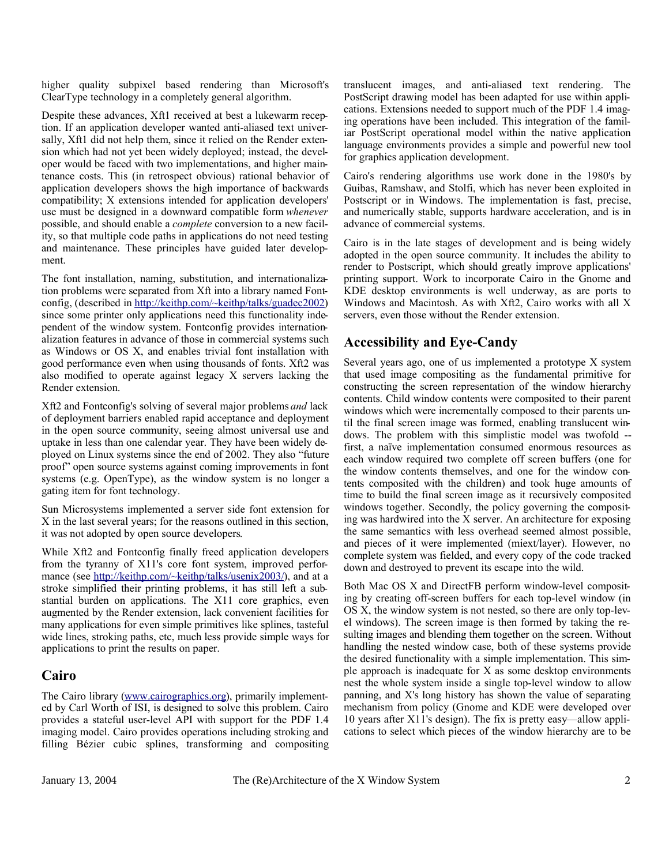higher quality subpixel based rendering than Microsoft's ClearType technology in a completely general algorithm.

Despite these advances, Xft1 received at best a lukewarm reception. If an application developer wanted anti-aliased text universally, Xft1 did not help them, since it relied on the Render extension which had not yet been widely deployed; instead, the developer would be faced with two implementations, and higher maintenance costs. This (in retrospect obvious) rational behavior of application developers shows the high importance of backwards compatibility; X extensions intended for application developers' use must be designed in a downward compatible form *whenever* possible, and should enable a *complete* conversion to a new facility, so that multiple code paths in applications do not need testing and maintenance. These principles have guided later development.

The font installation, naming, substitution, and internationalization problems were separated from Xft into a library named Fontconfig, (described in http://keithp.com/~keithp/talks/guadec2002) since some printer only applications need this functionality independent of the window system. Fontconfig provides internationalization features in advance of those in commercial systems such as Windows or OS X, and enables trivial font installation with good performance even when using thousands of fonts. Xft2 was also modified to operate against legacy X servers lacking the Render extension.

Xft2 and Fontconfig's solving of several major problems *and* lack of deployment barriers enabled rapid acceptance and deployment in the open source community, seeing almost universal use and uptake in less than one calendar year. They have been widely deployed on Linux systems since the end of 2002. They also "future proof" open source systems against coming improvements in font systems (e.g. OpenType), as the window system is no longer a gating item for font technology.

Sun Microsystems implemented a server side font extension for X in the last several years; for the reasons outlined in this section, it was not adopted by open source developers.

While Xft2 and Fontconfig finally freed application developers from the tyranny of X11's core font system, improved performance (see http://keithp.com/~keithp/talks/usenix2003/), and at a stroke simplified their printing problems, it has still left a substantial burden on applications. The X11 core graphics, even augmented by the Render extension, lack convenient facilities for many applications for even simple primitives like splines, tasteful wide lines, stroking paths, etc, much less provide simple ways for applications to print the results on paper.

# **Cairo**

The Cairo library (www.cairographics.org), primarily implemented by Carl Worth of ISI, is designed to solve this problem. Cairo provides a stateful user-level API with support for the PDF 1.4 imaging model. Cairo provides operations including stroking and filling Bézier cubic splines, transforming and compositing translucent images, and anti-aliased text rendering. The PostScript drawing model has been adapted for use within applications. Extensions needed to support much of the PDF 1.4 imaging operations have been included. This integration of the familiar PostScript operational model within the native application language environments provides a simple and powerful new tool for graphics application development.

Cairo's rendering algorithms use work done in the 1980's by Guibas, Ramshaw, and Stolfi, which has never been exploited in Postscript or in Windows. The implementation is fast, precise, and numerically stable, supports hardware acceleration, and is in advance of commercial systems.

Cairo is in the late stages of development and is being widely adopted in the open source community. It includes the ability to render to Postscript, which should greatly improve applications' printing support. Work to incorporate Cairo in the Gnome and KDE desktop environments is well underway, as are ports to Windows and Macintosh. As with Xft2, Cairo works with all X servers, even those without the Render extension.

# **Accessibility and Eye-Candy**

Several years ago, one of us implemented a prototype X system that used image compositing as the fundamental primitive for constructing the screen representation of the window hierarchy contents. Child window contents were composited to their parent windows which were incrementally composed to their parents until the final screen image was formed, enabling translucent windows. The problem with this simplistic model was twofold - first, a naïve implementation consumed enormous resources as each window required two complete off screen buffers (one for the window contents themselves, and one for the window contents composited with the children) and took huge amounts of time to build the final screen image as it recursively composited windows together. Secondly, the policy governing the compositing was hardwired into the X server. An architecture for exposing the same semantics with less overhead seemed almost possible, and pieces of it were implemented (miext/layer). However, no complete system was fielded, and every copy of the code tracked down and destroyed to prevent its escape into the wild.

Both Mac OS X and DirectFB perform window-level compositing by creating off-screen buffers for each top-level window (in OS X, the window system is not nested, so there are only top-level windows). The screen image is then formed by taking the resulting images and blending them together on the screen. Without handling the nested window case, both of these systems provide the desired functionality with a simple implementation. This simple approach is inadequate for X as some desktop environments nest the whole system inside a single top-level window to allow panning, and X's long history has shown the value of separating mechanism from policy (Gnome and KDE were developed over 10 years after X11's design). The fix is pretty easy—allow applications to select which pieces of the window hierarchy are to be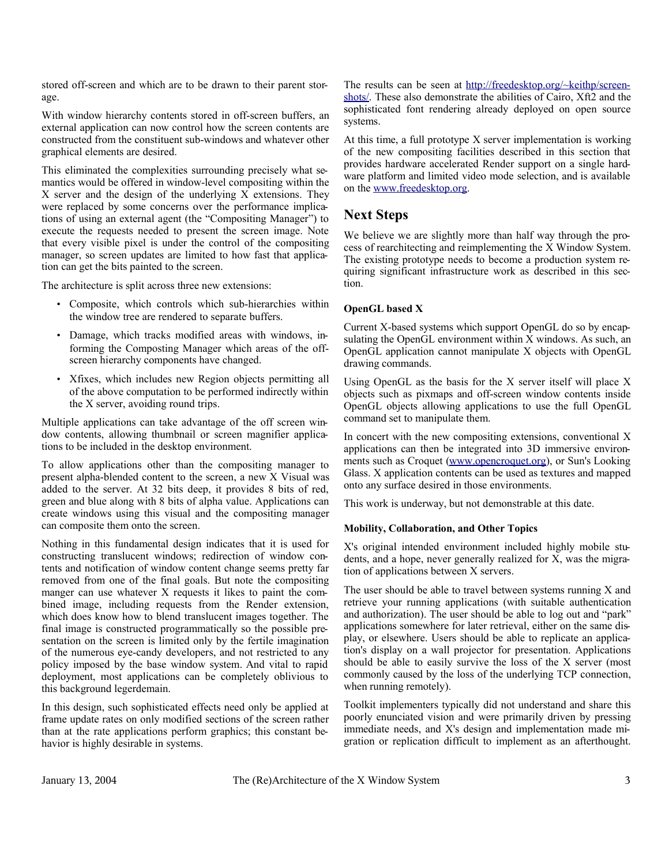stored off-screen and which are to be drawn to their parent storage.

With window hierarchy contents stored in off-screen buffers, an external application can now control how the screen contents are constructed from the constituent sub-windows and whatever other graphical elements are desired.

This eliminated the complexities surrounding precisely what semantics would be offered in window-level compositing within the X server and the design of the underlying X extensions. They were replaced by some concerns over the performance implications of using an external agent (the "Compositing Manager") to execute the requests needed to present the screen image. Note that every visible pixel is under the control of the compositing manager, so screen updates are limited to how fast that application can get the bits painted to the screen.

The architecture is split across three new extensions:

- Composite, which controls which sub-hierarchies within the window tree are rendered to separate buffers.
- Damage, which tracks modified areas with windows, informing the Composting Manager which areas of the offscreen hierarchy components have changed.
- Xfixes, which includes new Region objects permitting all of the above computation to be performed indirectly within the X server, avoiding round trips.

Multiple applications can take advantage of the off screen window contents, allowing thumbnail or screen magnifier applications to be included in the desktop environment.

To allow applications other than the compositing manager to present alpha-blended content to the screen, a new X Visual was added to the server. At 32 bits deep, it provides 8 bits of red, green and blue along with 8 bits of alpha value. Applications can create windows using this visual and the compositing manager can composite them onto the screen.

Nothing in this fundamental design indicates that it is used for constructing translucent windows; redirection of window contents and notification of window content change seems pretty far removed from one of the final goals. But note the compositing manger can use whatever X requests it likes to paint the combined image, including requests from the Render extension, which does know how to blend translucent images together. The final image is constructed programmatically so the possible presentation on the screen is limited only by the fertile imagination of the numerous eye-candy developers, and not restricted to any policy imposed by the base window system. And vital to rapid deployment, most applications can be completely oblivious to this background legerdemain.

In this design, such sophisticated effects need only be applied at frame update rates on only modified sections of the screen rather than at the rate applications perform graphics; this constant behavior is highly desirable in systems.

The results can be seen at http://freedesktop.org/~keithp/screenshots/. These also demonstrate the abilities of Cairo, Xft2 and the sophisticated font rendering already deployed on open source systems.

At this time, a full prototype X server implementation is working of the new compositing facilities described in this section that provides hardware accelerated Render support on a single hardware platform and limited video mode selection, and is available on the www.freedesktop.org.

# **Next Steps**

We believe we are slightly more than half way through the process of rearchitecting and reimplementing the X Window System. The existing prototype needs to become a production system requiring significant infrastructure work as described in this section.

### **OpenGL based X**

Current X-based systems which support OpenGL do so by encapsulating the OpenGL environment within X windows. As such, an OpenGL application cannot manipulate X objects with OpenGL drawing commands.

Using OpenGL as the basis for the X server itself will place X objects such as pixmaps and off-screen window contents inside OpenGL objects allowing applications to use the full OpenGL command set to manipulate them.

In concert with the new compositing extensions, conventional X applications can then be integrated into 3D immersive environments such as Croquet (www.opencroquet.org), or Sun's Looking Glass. X application contents can be used as textures and mapped onto any surface desired in those environments.

This work is underway, but not demonstrable at this date.

#### **Mobility, Collaboration, and Other Topics**

X's original intended environment included highly mobile students, and a hope, never generally realized for  $\overline{X}$ , was the migration of applications between X servers.

The user should be able to travel between systems running X and retrieve your running applications (with suitable authentication and authorization). The user should be able to log out and "park" applications somewhere for later retrieval, either on the same display, or elsewhere. Users should be able to replicate an application's display on a wall projector for presentation. Applications should be able to easily survive the loss of the X server (most commonly caused by the loss of the underlying TCP connection, when running remotely).

Toolkit implementers typically did not understand and share this poorly enunciated vision and were primarily driven by pressing immediate needs, and X's design and implementation made migration or replication difficult to implement as an afterthought.